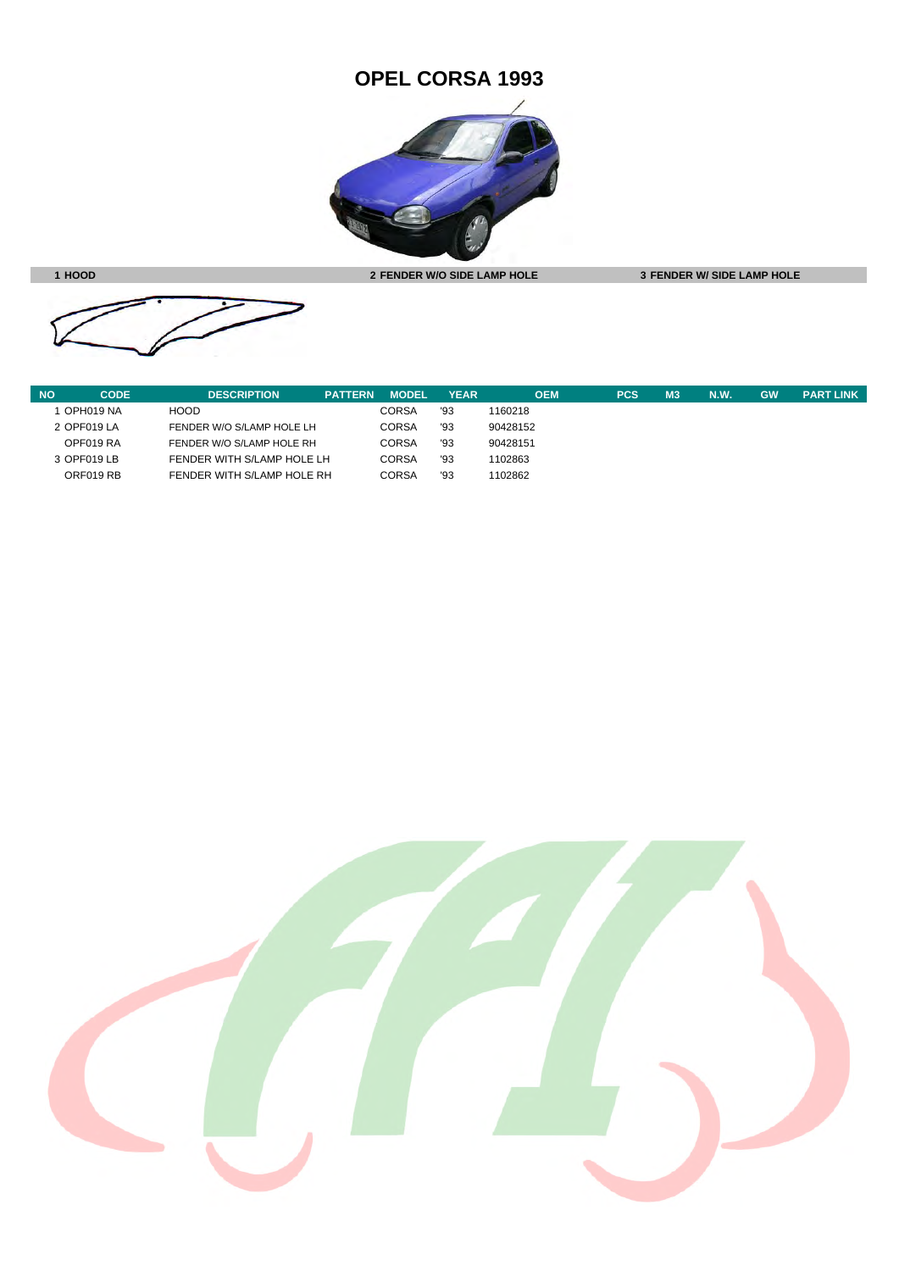## **OPEL CORSA 1993**



**1 HOOD 2 FENDER W/O SIDE LAMP HOLE 3 FENDER W/ SIDE LAMP HOLE**



| <b>NO</b> | <b>CODE</b> | <b>DESCRIPTION</b>         | <b>PATTERN</b> | <b>MODEL</b> | <b>YEAR</b> | OEM      | <b>PCS</b> | M <sub>3</sub> | N.W. | <b>GW</b> | <b>PART LINK</b> |
|-----------|-------------|----------------------------|----------------|--------------|-------------|----------|------------|----------------|------|-----------|------------------|
|           | OPH019 NA   | <b>HOOD</b>                |                | <b>CORSA</b> | '93         | 1160218  |            |                |      |           |                  |
|           | 2 OPF019 LA | FENDER W/O S/LAMP HOLE LH  |                | <b>CORSA</b> | '93         | 90428152 |            |                |      |           |                  |
|           | OPF019 RA   | FENDER W/O S/LAMP HOLE RH  |                | <b>CORSA</b> | '93         | 90428151 |            |                |      |           |                  |
|           | 3 OPF019 LB | FENDER WITH S/LAMP HOLE LH |                | <b>CORSA</b> | '93         | 1102863  |            |                |      |           |                  |
|           | ORF019 RB   | FENDER WITH S/LAMP HOLE RH |                | <b>CORSA</b> | '93         | 1102862  |            |                |      |           |                  |

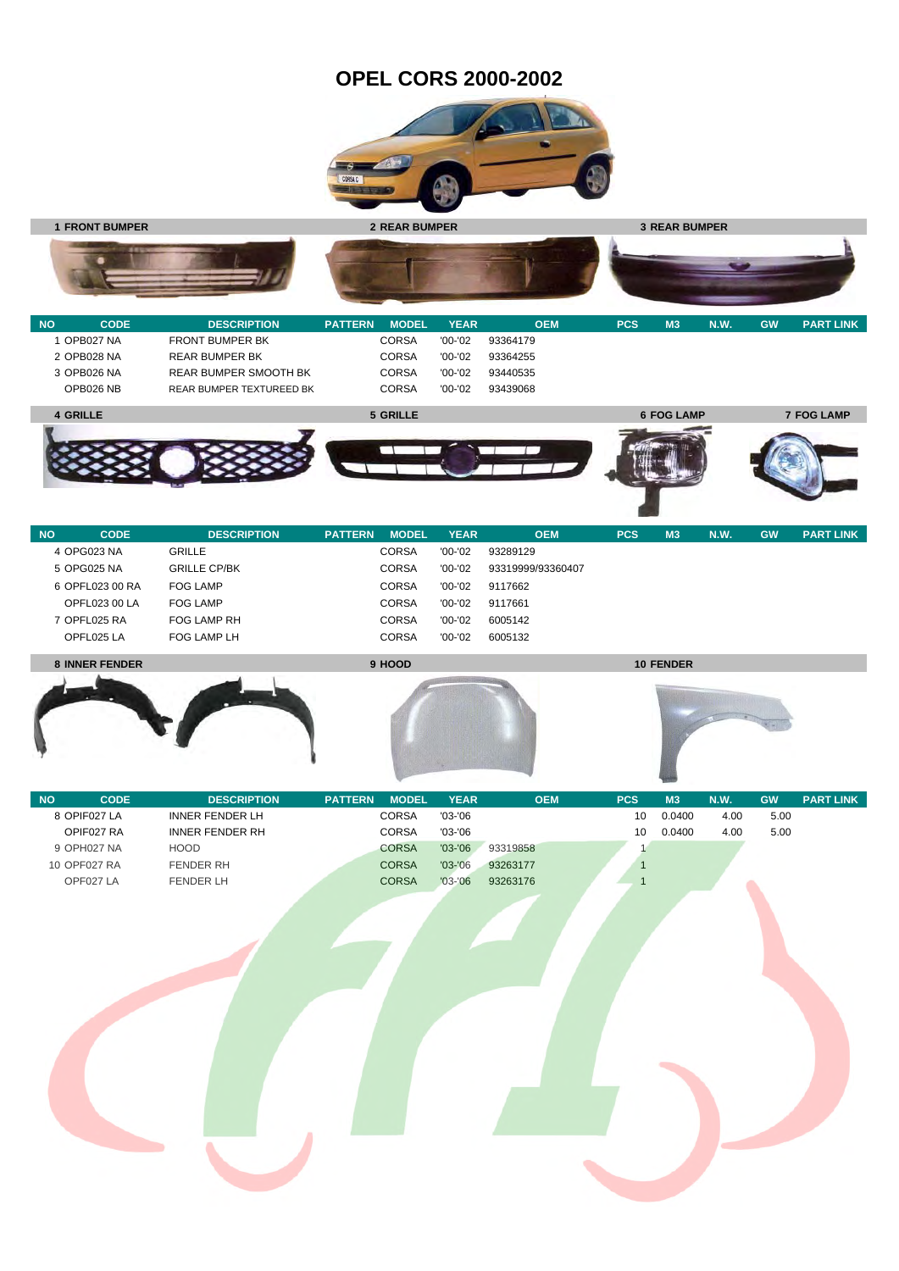## **OPEL CORS 2000-2002**





| <b>NO</b> | <b>CODE</b> | <b>DESCRIPTION</b>           | <b>PATTERN</b> | <b>MODEL</b> | <b>YEAR</b> | <b>OEM</b> | <b>PCS</b> | M <sub>3</sub>    | <b>N.W.</b> | <b>GW</b> | <b>PART LINK</b>  |
|-----------|-------------|------------------------------|----------------|--------------|-------------|------------|------------|-------------------|-------------|-----------|-------------------|
|           | 1 OPB027 NA | <b>FRONT BUMPER BK</b>       |                | <b>CORSA</b> | $'00-'02$   | 93364179   |            |                   |             |           |                   |
|           | 2 OPB028 NA | <b>REAR BUMPER BK</b>        |                | <b>CORSA</b> | $'00-'02$   | 93364255   |            |                   |             |           |                   |
|           | 3 OPB026 NA | <b>REAR BUMPER SMOOTH BK</b> |                | <b>CORSA</b> | $'00-'02$   | 93440535   |            |                   |             |           |                   |
|           | OPB026 NB   | REAR BUMPER TEXTUREED BK     |                | <b>CORSA</b> | '00-'02     | 93439068   |            |                   |             |           |                   |
|           | 4 GRILLE    |                              |                | 5 GRILLE     |             |            |            | <b>6 FOG LAMP</b> |             |           | <b>7 FOG LAMP</b> |
|           |             |                              |                |              |             |            |            |                   |             |           |                   |
|           |             |                              |                |              |             |            |            |                   |             |           |                   |

| <b>NO</b> | <b>CODE</b>           | <b>DESCRIPTION</b>  | <b>PATTERN</b> | <b>MODEL</b> | <b>YEAR</b> | <b>OEM</b>        | <b>PCS</b> | M <sub>3</sub>   | <b>N.W.</b> | <b>GW</b> | <b>PART LINK</b> |
|-----------|-----------------------|---------------------|----------------|--------------|-------------|-------------------|------------|------------------|-------------|-----------|------------------|
|           | 4 OPG023 NA           | <b>GRILLE</b>       |                | <b>CORSA</b> | $'00-'02$   | 93289129          |            |                  |             |           |                  |
|           | 5 OPG025 NA           | <b>GRILLE CP/BK</b> |                | <b>CORSA</b> | $'00-'02$   | 93319999/93360407 |            |                  |             |           |                  |
|           | 6 OPFL023 00 RA       | <b>FOG LAMP</b>     |                | <b>CORSA</b> | $'00-'02$   | 9117662           |            |                  |             |           |                  |
|           | <b>OPFL023 00 LA</b>  | <b>FOG LAMP</b>     |                | <b>CORSA</b> | $'00-'02$   | 9117661           |            |                  |             |           |                  |
|           | OPFL025 RA            | FOG LAMP RH         |                | <b>CORSA</b> | $'00-'02$   | 6005142           |            |                  |             |           |                  |
|           | OPFL025 LA            | FOG LAMP LH         |                | <b>CORSA</b> | $'00-'02$   | 6005132           |            |                  |             |           |                  |
|           | <b>8 INNER FENDER</b> |                     |                | 9 HOOD       |             |                   |            | <b>10 FENDER</b> |             |           |                  |







۸

| <b>NO</b> | <b>CODE</b>  | <b>DESCRIPTION</b>     | <b>PATTERN</b> | <b>MODEL</b> | <b>YEAR</b> | <b>OEM</b> | <b>PCS</b> | M <sub>3</sub> | <b>N.W.</b> | <b>GW</b> | <b>PART LINK</b> |
|-----------|--------------|------------------------|----------------|--------------|-------------|------------|------------|----------------|-------------|-----------|------------------|
|           | 8 OPIF027 LA | INNER FENDER LH        |                | <b>CORSA</b> | $'03-'06$   |            | 10         | 0.0400         | 4.00        | 5.00      |                  |
|           | OPIF027 RA   | <b>INNER FENDER RH</b> |                | <b>CORSA</b> | $'03-'06$   |            | 10         | 0.0400         | 4.00        | 5.00      |                  |
|           | 9 OPH027 NA  | <b>HOOD</b>            |                | <b>CORSA</b> | $'03 - '06$ | 93319858   |            |                |             |           |                  |
|           | 10 OPF027 RA | FENDER RH              |                | <b>CORSA</b> | $'03 - '06$ | 93263177   |            |                |             |           |                  |
|           | OPF027 LA    | <b>FENDER LH</b>       |                | <b>CORSA</b> | $'03 - '06$ | 93263176   |            |                |             |           |                  |
|           |              |                        |                |              |             |            |            |                |             |           |                  |
|           |              |                        |                |              |             |            |            |                |             |           |                  |
|           |              |                        |                |              |             |            |            |                |             |           |                  |